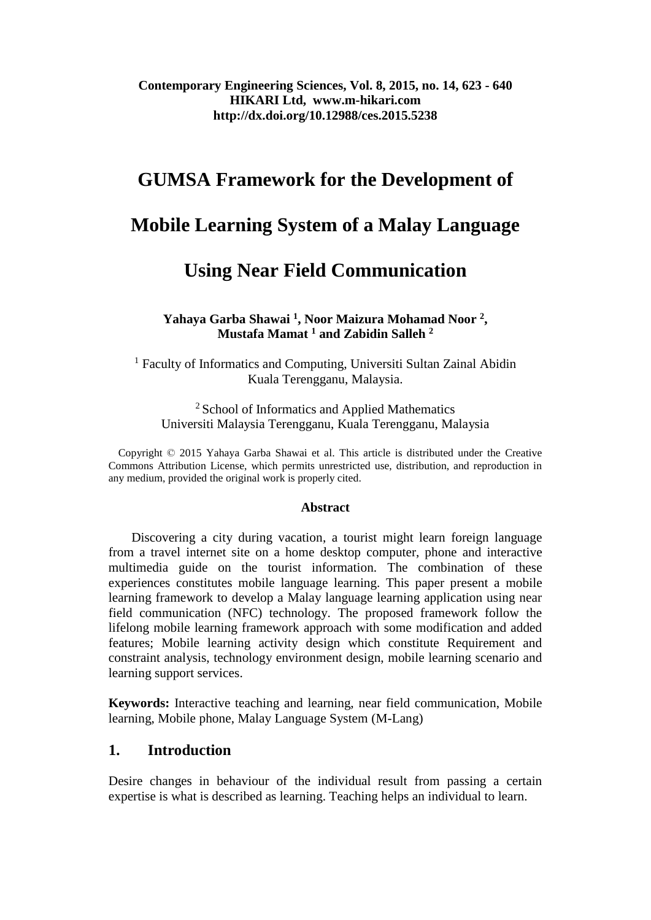## **Contemporary Engineering Sciences, Vol. 8, 2015, no. 14, 623 - 640 HIKARI Ltd, www.m-hikari.com http://dx.doi.org/10.12988/ces.2015.5238**

# **GUMSA Framework for the Development of**

# **Mobile Learning System of a Malay Language**

# **Using Near Field Communication**

**Yahaya Garba Shawai <sup>1</sup> , Noor Maizura Mohamad Noor <sup>2</sup> , Mustafa Mamat <sup>1</sup> and Zabidin Salleh <sup>2</sup>**

<sup>1</sup> Faculty of Informatics and Computing, Universiti Sultan Zainal Abidin Kuala Terengganu, Malaysia.

<sup>2</sup> School of Informatics and Applied Mathematics Universiti Malaysia Terengganu, Kuala Terengganu, Malaysia

Copyright © 2015 Yahaya Garba Shawai et al. This article is distributed under the Creative Commons Attribution License, which permits unrestricted use, distribution, and reproduction in any medium, provided the original work is properly cited.

#### **Abstract**

 Discovering a city during vacation, a tourist might learn foreign language from a travel internet site on a home desktop computer, phone and interactive multimedia guide on the tourist information. The combination of these experiences constitutes mobile language learning. This paper present a mobile learning framework to develop a Malay language learning application using near field communication (NFC) technology. The proposed framework follow the lifelong mobile learning framework approach with some modification and added features; Mobile learning activity design which constitute Requirement and constraint analysis, technology environment design, mobile learning scenario and learning support services.

**Keywords:** Interactive teaching and learning, near field communication, Mobile learning, Mobile phone, Malay Language System (M-Lang)

## **1. Introduction**

Desire changes in behaviour of the individual result from passing a certain expertise is what is described as learning. Teaching helps an individual to learn.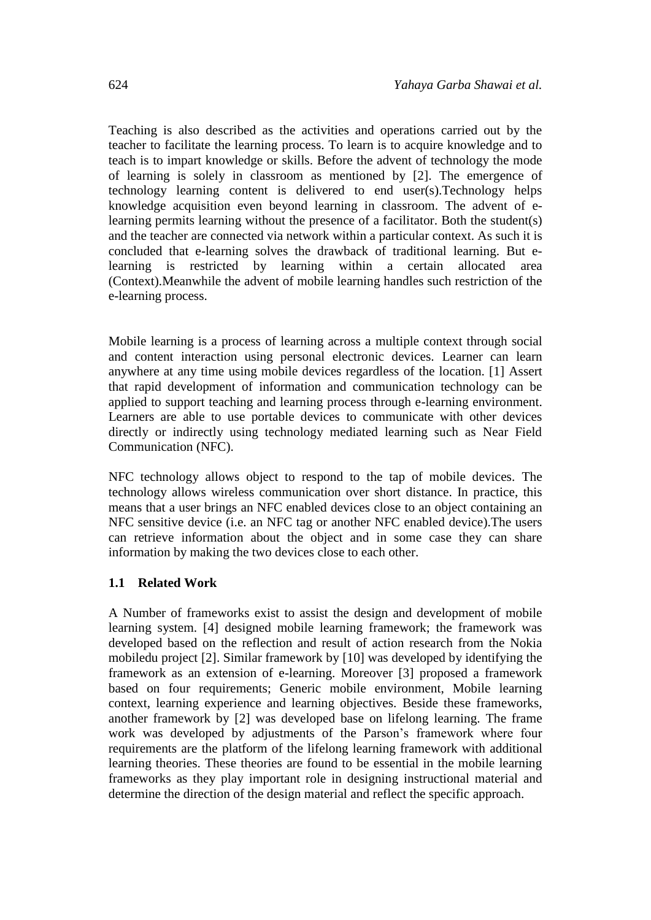Teaching is also described as the activities and operations carried out by the teacher to facilitate the learning process. To learn is to acquire knowledge and to teach is to impart knowledge or skills. Before the advent of technology the mode of learning is solely in classroom as mentioned by [2]. The emergence of technology learning content is delivered to end user(s).Technology helps knowledge acquisition even beyond learning in classroom. The advent of elearning permits learning without the presence of a facilitator. Both the student(s) and the teacher are connected via network within a particular context. As such it is concluded that e-learning solves the drawback of traditional learning. But elearning is restricted by learning within a certain allocated area (Context).Meanwhile the advent of mobile learning handles such restriction of the e-learning process.

Mobile learning is a process of learning across a multiple context through social and content interaction using personal electronic devices. Learner can learn anywhere at any time using mobile devices regardless of the location. [1] Assert that rapid development of information and communication technology can be applied to support teaching and learning process through e-learning environment. Learners are able to use portable devices to communicate with other devices directly or indirectly using technology mediated learning such as Near Field Communication (NFC).

NFC technology allows object to respond to the tap of mobile devices. The technology allows wireless communication over short distance. In practice, this means that a user brings an NFC enabled devices close to an object containing an NFC sensitive device (i.e. an NFC tag or another NFC enabled device).The users can retrieve information about the object and in some case they can share information by making the two devices close to each other.

#### **1.1 Related Work**

A Number of frameworks exist to assist the design and development of mobile learning system. [4] designed mobile learning framework; the framework was developed based on the reflection and result of action research from the Nokia mobiledu project [2]. Similar framework by [10] was developed by identifying the framework as an extension of e-learning. Moreover [3] proposed a framework based on four requirements; Generic mobile environment, Mobile learning context, learning experience and learning objectives. Beside these frameworks, another framework by [2] was developed base on lifelong learning. The frame work was developed by adjustments of the Parson's framework where four requirements are the platform of the lifelong learning framework with additional learning theories. These theories are found to be essential in the mobile learning frameworks as they play important role in designing instructional material and determine the direction of the design material and reflect the specific approach.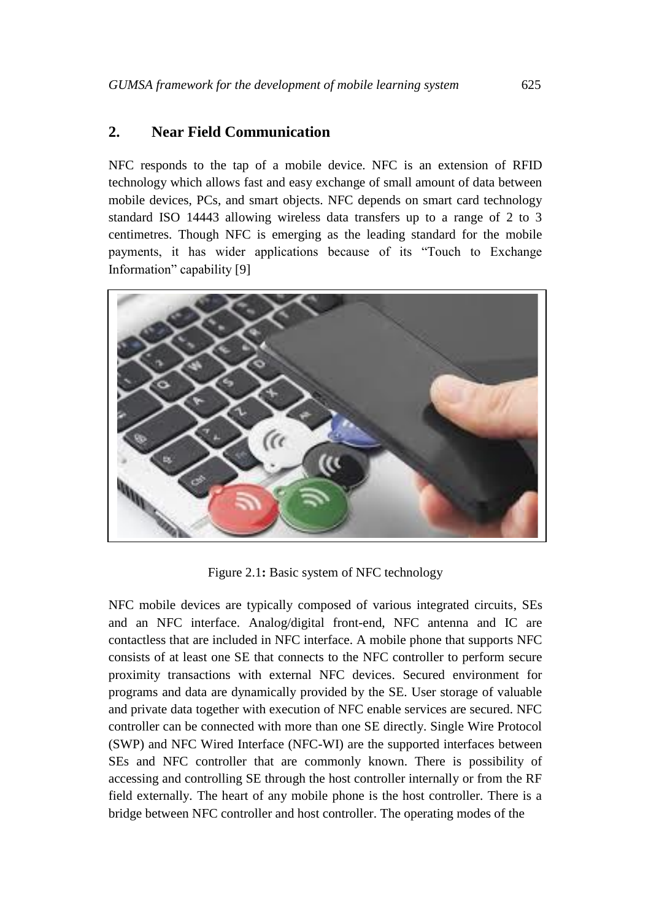# **2. Near Field Communication**

NFC responds to the tap of a mobile device. NFC is an extension of RFID technology which allows fast and easy exchange of small amount of data between mobile devices, PCs, and smart objects. NFC depends on smart card technology standard ISO 14443 allowing wireless data transfers up to a range of 2 to 3 centimetres. Though NFC is emerging as the leading standard for the mobile payments, it has wider applications because of its "Touch to Exchange Information" capability [9]



Figure 2.1**:** Basic system of NFC technology

NFC mobile devices are typically composed of various integrated circuits, SEs and an NFC interface. Analog/digital front-end, NFC antenna and IC are contactless that are included in NFC interface. A mobile phone that supports NFC consists of at least one SE that connects to the NFC controller to perform secure proximity transactions with external NFC devices. Secured environment for programs and data are dynamically provided by the SE. User storage of valuable and private data together with execution of NFC enable services are secured. NFC controller can be connected with more than one SE directly. Single Wire Protocol (SWP) and NFC Wired Interface (NFC-WI) are the supported interfaces between SEs and NFC controller that are commonly known. There is possibility of accessing and controlling SE through the host controller internally or from the RF field externally. The heart of any mobile phone is the host controller. There is a bridge between NFC controller and host controller. The operating modes of the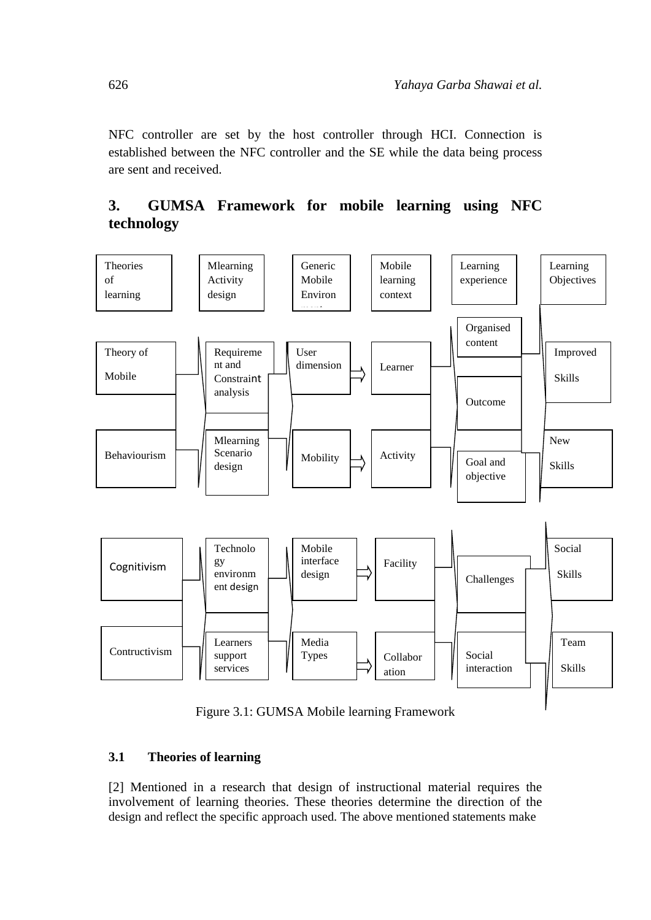NFC controller are set by the host controller through HCI. Connection is established between the NFC controller and the SE while the data being process are sent and received.

# **3. GUMSA Framework for mobile learning using NFC technology**



Figure 3.1: GUMSA Mobile learning Framework

# **3.1 Theories of learning**

[2] Mentioned in a research that design of instructional material requires the involvement of learning theories. These theories determine the direction of the design and reflect the specific approach used. The above mentioned statements make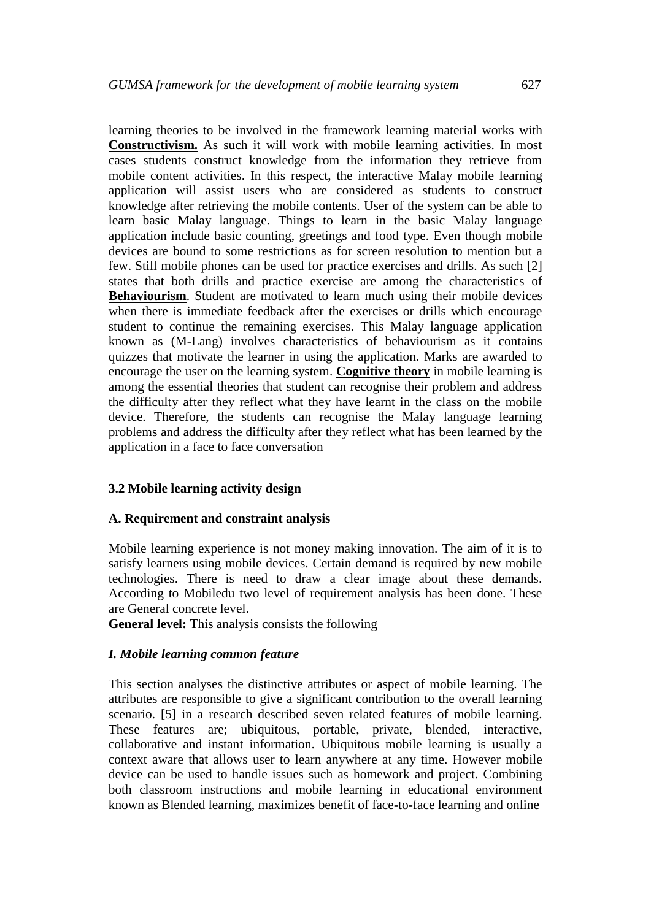learning theories to be involved in the framework learning material works with **Constructivism.** As such it will work with mobile learning activities. In most cases students construct knowledge from the information they retrieve from mobile content activities. In this respect, the interactive Malay mobile learning application will assist users who are considered as students to construct knowledge after retrieving the mobile contents. User of the system can be able to learn basic Malay language. Things to learn in the basic Malay language application include basic counting, greetings and food type. Even though mobile devices are bound to some restrictions as for screen resolution to mention but a few. Still mobile phones can be used for practice exercises and drills. As such [2] states that both drills and practice exercise are among the characteristics of **Behaviourism**. Student are motivated to learn much using their mobile devices when there is immediate feedback after the exercises or drills which encourage student to continue the remaining exercises. This Malay language application known as (M-Lang) involves characteristics of behaviourism as it contains quizzes that motivate the learner in using the application. Marks are awarded to encourage the user on the learning system. **Cognitive theory** in mobile learning is among the essential theories that student can recognise their problem and address the difficulty after they reflect what they have learnt in the class on the mobile device. Therefore, the students can recognise the Malay language learning problems and address the difficulty after they reflect what has been learned by the application in a face to face conversation

#### **3.2 Mobile learning activity design**

#### **A. Requirement and constraint analysis**

Mobile learning experience is not money making innovation. The aim of it is to satisfy learners using mobile devices. Certain demand is required by new mobile technologies. There is need to draw a clear image about these demands. According to Mobiledu two level of requirement analysis has been done. These are General concrete level.

**General level:** This analysis consists the following

#### *I. Mobile learning common feature*

This section analyses the distinctive attributes or aspect of mobile learning. The attributes are responsible to give a significant contribution to the overall learning scenario. [5] in a research described seven related features of mobile learning. These features are; ubiquitous, portable, private, blended, interactive, collaborative and instant information. Ubiquitous mobile learning is usually a context aware that allows user to learn anywhere at any time. However mobile device can be used to handle issues such as homework and project. Combining both classroom instructions and mobile learning in educational environment known as Blended learning, maximizes benefit of face-to-face learning and online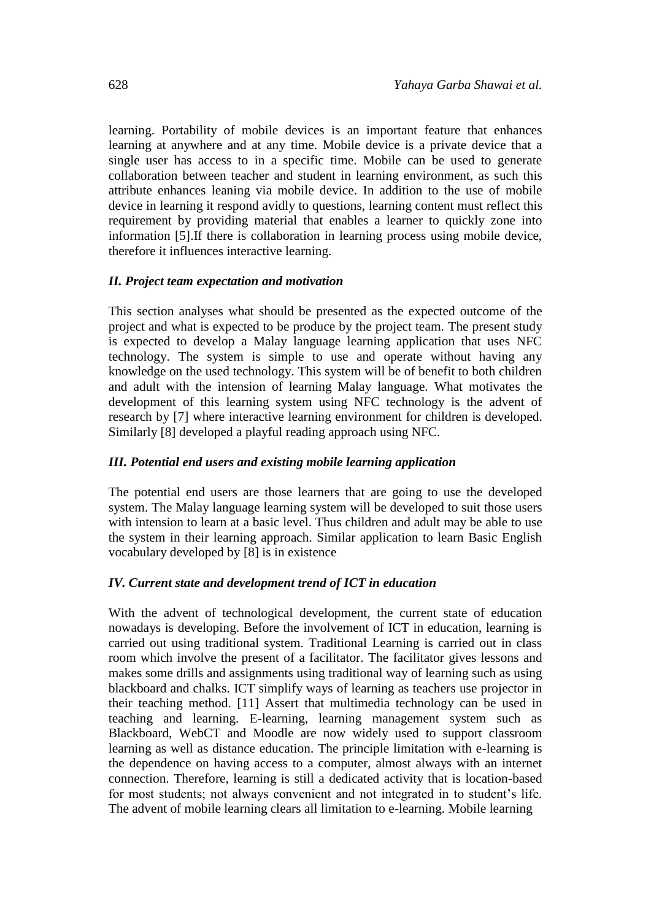learning. Portability of mobile devices is an important feature that enhances learning at anywhere and at any time. Mobile device is a private device that a single user has access to in a specific time. Mobile can be used to generate collaboration between teacher and student in learning environment, as such this attribute enhances leaning via mobile device. In addition to the use of mobile device in learning it respond avidly to questions, learning content must reflect this requirement by providing material that enables a learner to quickly zone into information [5].If there is collaboration in learning process using mobile device, therefore it influences interactive learning.

#### *II. Project team expectation and motivation*

This section analyses what should be presented as the expected outcome of the project and what is expected to be produce by the project team. The present study is expected to develop a Malay language learning application that uses NFC technology. The system is simple to use and operate without having any knowledge on the used technology. This system will be of benefit to both children and adult with the intension of learning Malay language. What motivates the development of this learning system using NFC technology is the advent of research by [7] where interactive learning environment for children is developed. Similarly [8] developed a playful reading approach using NFC.

#### *III. Potential end users and existing mobile learning application*

The potential end users are those learners that are going to use the developed system. The Malay language learning system will be developed to suit those users with intension to learn at a basic level. Thus children and adult may be able to use the system in their learning approach. Similar application to learn Basic English vocabulary developed by [8] is in existence

#### *IV. Current state and development trend of ICT in education*

With the advent of technological development, the current state of education nowadays is developing. Before the involvement of ICT in education, learning is carried out using traditional system. Traditional Learning is carried out in class room which involve the present of a facilitator. The facilitator gives lessons and makes some drills and assignments using traditional way of learning such as using blackboard and chalks. ICT simplify ways of learning as teachers use projector in their teaching method. [11] Assert that multimedia technology can be used in teaching and learning. E-learning, learning management system such as Blackboard, WebCT and Moodle are now widely used to support classroom learning as well as distance education. The principle limitation with e-learning is the dependence on having access to a computer, almost always with an internet connection. Therefore, learning is still a dedicated activity that is location-based for most students; not always convenient and not integrated in to student's life. The advent of mobile learning clears all limitation to e-learning. Mobile learning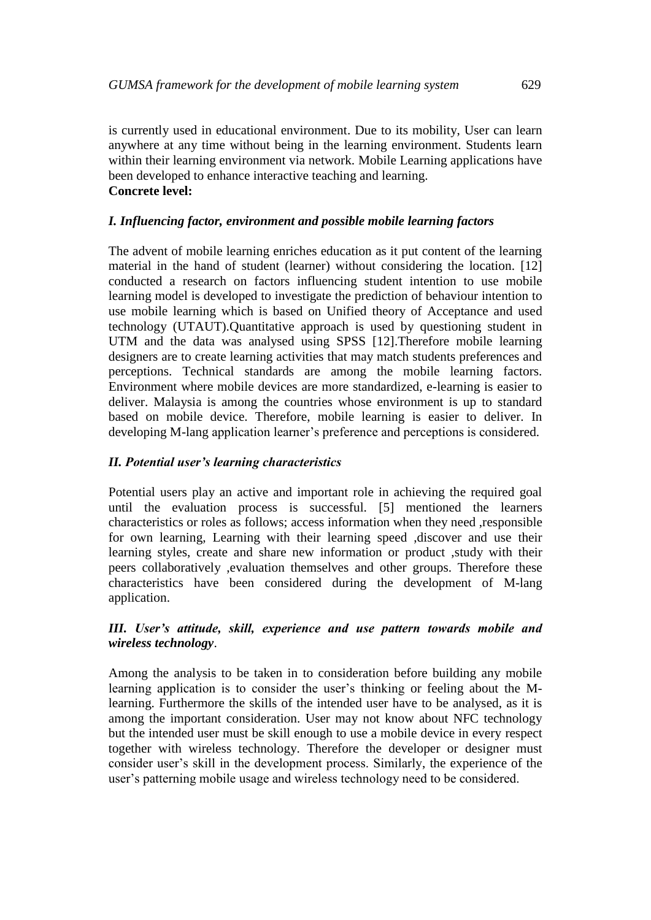is currently used in educational environment. Due to its mobility, User can learn anywhere at any time without being in the learning environment. Students learn within their learning environment via network. Mobile Learning applications have been developed to enhance interactive teaching and learning. **Concrete level:**

### *I. Influencing factor, environment and possible mobile learning factors*

The advent of mobile learning enriches education as it put content of the learning material in the hand of student (learner) without considering the location. [12] conducted a research on factors influencing student intention to use mobile learning model is developed to investigate the prediction of behaviour intention to use mobile learning which is based on Unified theory of Acceptance and used technology (UTAUT).Quantitative approach is used by questioning student in UTM and the data was analysed using SPSS [12].Therefore mobile learning designers are to create learning activities that may match students preferences and perceptions. Technical standards are among the mobile learning factors. Environment where mobile devices are more standardized, e-learning is easier to deliver. Malaysia is among the countries whose environment is up to standard based on mobile device. Therefore, mobile learning is easier to deliver. In developing M-lang application learner's preference and perceptions is considered.

#### *II. Potential user's learning characteristics*

Potential users play an active and important role in achieving the required goal until the evaluation process is successful. [5] mentioned the learners characteristics or roles as follows; access information when they need ,responsible for own learning, Learning with their learning speed ,discover and use their learning styles, create and share new information or product ,study with their peers collaboratively ,evaluation themselves and other groups. Therefore these characteristics have been considered during the development of M-lang application.

#### *III. User's attitude, skill, experience and use pattern towards mobile and wireless technology*.

Among the analysis to be taken in to consideration before building any mobile learning application is to consider the user's thinking or feeling about the Mlearning. Furthermore the skills of the intended user have to be analysed, as it is among the important consideration. User may not know about NFC technology but the intended user must be skill enough to use a mobile device in every respect together with wireless technology. Therefore the developer or designer must consider user's skill in the development process. Similarly, the experience of the user's patterning mobile usage and wireless technology need to be considered.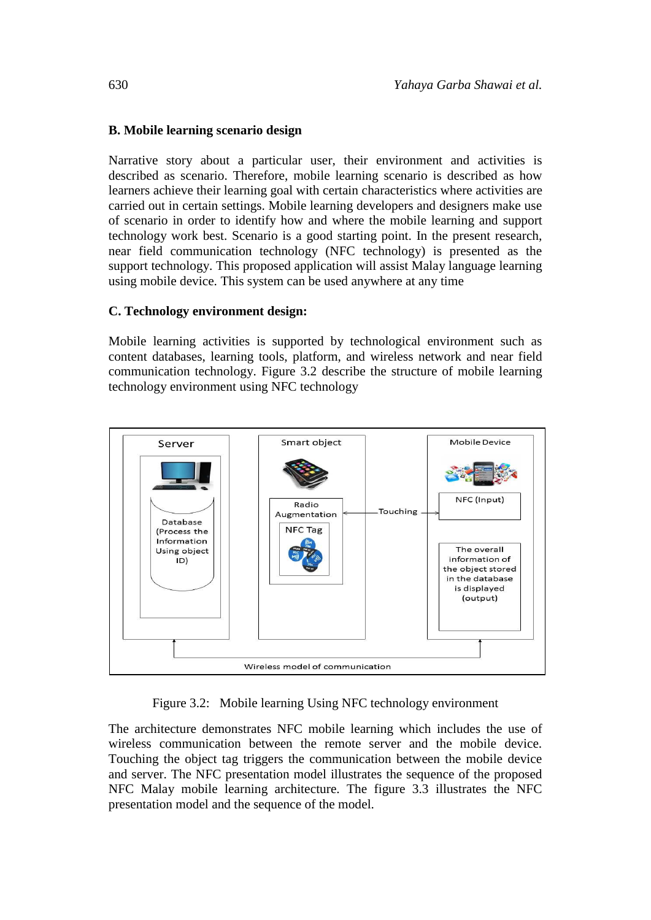### **B. Mobile learning scenario design**

Narrative story about a particular user, their environment and activities is described as scenario. Therefore, mobile learning scenario is described as how learners achieve their learning goal with certain characteristics where activities are carried out in certain settings. Mobile learning developers and designers make use of scenario in order to identify how and where the mobile learning and support technology work best. Scenario is a good starting point. In the present research, near field communication technology (NFC technology) is presented as the support technology. This proposed application will assist Malay language learning using mobile device. This system can be used anywhere at any time

#### **C. Technology environment design:**

Mobile learning activities is supported by technological environment such as content databases, learning tools, platform, and wireless network and near field communication technology. Figure 3.2 describe the structure of mobile learning technology environment using NFC technology



Figure 3.2: Mobile learning Using NFC technology environment

The architecture demonstrates NFC mobile learning which includes the use of wireless communication between the remote server and the mobile device. Touching the object tag triggers the communication between the mobile device and server. The NFC presentation model illustrates the sequence of the proposed NFC Malay mobile learning architecture. The figure 3.3 illustrates the NFC presentation model and the sequence of the model.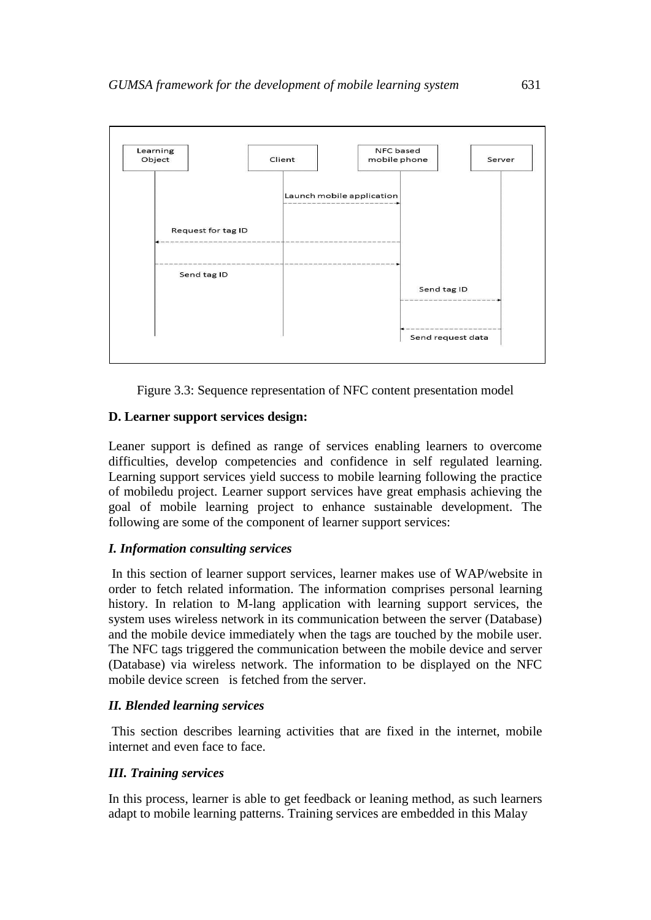

Figure 3.3: Sequence representation of NFC content presentation model

## **D. Learner support services design:**

Leaner support is defined as range of services enabling learners to overcome difficulties, develop competencies and confidence in self regulated learning. Learning support services yield success to mobile learning following the practice of mobiledu project. Learner support services have great emphasis achieving the goal of mobile learning project to enhance sustainable development. The following are some of the component of learner support services:

## *I. Information consulting services*

In this section of learner support services, learner makes use of WAP/website in order to fetch related information. The information comprises personal learning history. In relation to M-lang application with learning support services, the system uses wireless network in its communication between the server (Database) and the mobile device immediately when the tags are touched by the mobile user. The NFC tags triggered the communication between the mobile device and server (Database) via wireless network. The information to be displayed on the NFC mobile device screen is fetched from the server.

## *II. Blended learning services*

This section describes learning activities that are fixed in the internet, mobile internet and even face to face.

## *III. Training services*

In this process, learner is able to get feedback or leaning method, as such learners adapt to mobile learning patterns. Training services are embedded in this Malay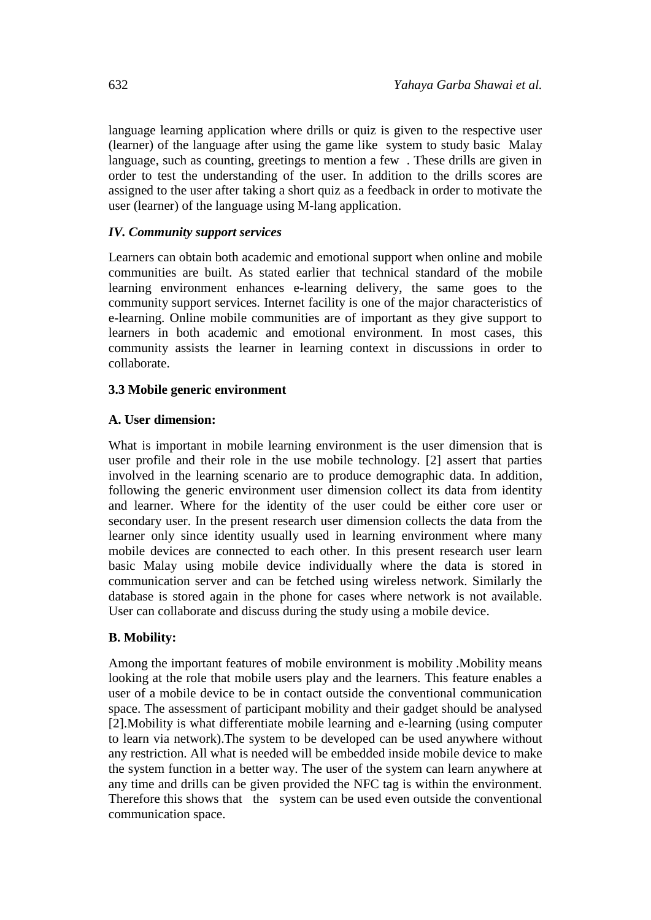language learning application where drills or quiz is given to the respective user (learner) of the language after using the game like system to study basic Malay language, such as counting, greetings to mention a few . These drills are given in order to test the understanding of the user. In addition to the drills scores are assigned to the user after taking a short quiz as a feedback in order to motivate the user (learner) of the language using M-lang application.

#### *IV. Community support services*

Learners can obtain both academic and emotional support when online and mobile communities are built. As stated earlier that technical standard of the mobile learning environment enhances e-learning delivery, the same goes to the community support services. Internet facility is one of the major characteristics of e-learning. Online mobile communities are of important as they give support to learners in both academic and emotional environment. In most cases, this community assists the learner in learning context in discussions in order to collaborate.

#### **3.3 Mobile generic environment**

#### **A. User dimension:**

What is important in mobile learning environment is the user dimension that is user profile and their role in the use mobile technology. [2] assert that parties involved in the learning scenario are to produce demographic data. In addition, following the generic environment user dimension collect its data from identity and learner. Where for the identity of the user could be either core user or secondary user. In the present research user dimension collects the data from the learner only since identity usually used in learning environment where many mobile devices are connected to each other. In this present research user learn basic Malay using mobile device individually where the data is stored in communication server and can be fetched using wireless network. Similarly the database is stored again in the phone for cases where network is not available. User can collaborate and discuss during the study using a mobile device.

#### **B. Mobility:**

Among the important features of mobile environment is mobility .Mobility means looking at the role that mobile users play and the learners. This feature enables a user of a mobile device to be in contact outside the conventional communication space. The assessment of participant mobility and their gadget should be analysed [2].Mobility is what differentiate mobile learning and e-learning (using computer to learn via network).The system to be developed can be used anywhere without any restriction. All what is needed will be embedded inside mobile device to make the system function in a better way. The user of the system can learn anywhere at any time and drills can be given provided the NFC tag is within the environment. Therefore this shows that the system can be used even outside the conventional communication space.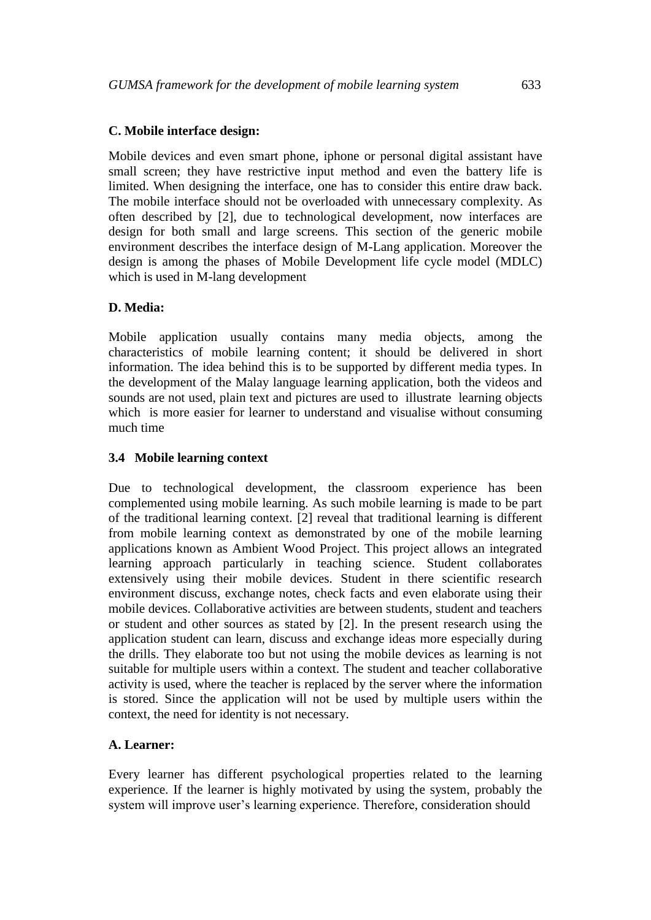### **C. Mobile interface design:**

Mobile devices and even smart phone, iphone or personal digital assistant have small screen; they have restrictive input method and even the battery life is limited. When designing the interface, one has to consider this entire draw back. The mobile interface should not be overloaded with unnecessary complexity. As often described by [2], due to technological development, now interfaces are design for both small and large screens. This section of the generic mobile environment describes the interface design of M-Lang application. Moreover the design is among the phases of Mobile Development life cycle model (MDLC) which is used in M-lang development

## **D. Media:**

Mobile application usually contains many media objects, among the characteristics of mobile learning content; it should be delivered in short information. The idea behind this is to be supported by different media types. In the development of the Malay language learning application, both the videos and sounds are not used, plain text and pictures are used to illustrate learning objects which is more easier for learner to understand and visualise without consuming much time

#### **3.4 Mobile learning context**

Due to technological development, the classroom experience has been complemented using mobile learning. As such mobile learning is made to be part of the traditional learning context. [2] reveal that traditional learning is different from mobile learning context as demonstrated by one of the mobile learning applications known as Ambient Wood Project. This project allows an integrated learning approach particularly in teaching science. Student collaborates extensively using their mobile devices. Student in there scientific research environment discuss, exchange notes, check facts and even elaborate using their mobile devices. Collaborative activities are between students, student and teachers or student and other sources as stated by [2]. In the present research using the application student can learn, discuss and exchange ideas more especially during the drills. They elaborate too but not using the mobile devices as learning is not suitable for multiple users within a context. The student and teacher collaborative activity is used, where the teacher is replaced by the server where the information is stored. Since the application will not be used by multiple users within the context, the need for identity is not necessary.

#### **A. Learner:**

Every learner has different psychological properties related to the learning experience. If the learner is highly motivated by using the system, probably the system will improve user's learning experience. Therefore, consideration should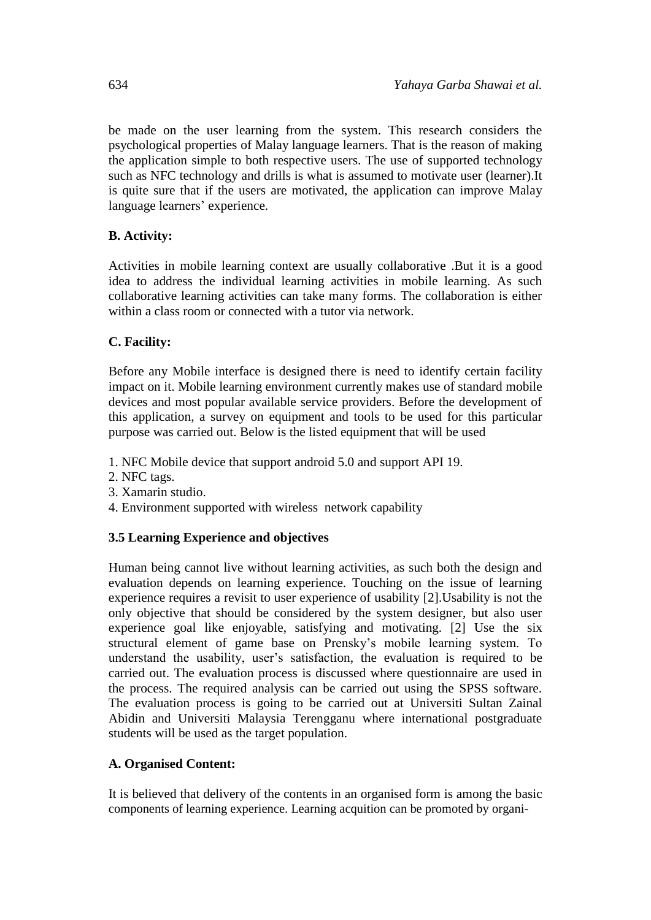be made on the user learning from the system. This research considers the psychological properties of Malay language learners. That is the reason of making the application simple to both respective users. The use of supported technology such as NFC technology and drills is what is assumed to motivate user (learner).It is quite sure that if the users are motivated, the application can improve Malay language learners' experience.

## **B. Activity:**

Activities in mobile learning context are usually collaborative .But it is a good idea to address the individual learning activities in mobile learning. As such collaborative learning activities can take many forms. The collaboration is either within a class room or connected with a tutor via network.

## **C. Facility:**

Before any Mobile interface is designed there is need to identify certain facility impact on it. Mobile learning environment currently makes use of standard mobile devices and most popular available service providers. Before the development of this application, a survey on equipment and tools to be used for this particular purpose was carried out. Below is the listed equipment that will be used

- 1. NFC Mobile device that support android 5.0 and support API 19.
- 2. NFC tags.
- 3. Xamarin studio.
- 4. Environment supported with wireless network capability

## **3.5 Learning Experience and objectives**

Human being cannot live without learning activities, as such both the design and evaluation depends on learning experience. Touching on the issue of learning experience requires a revisit to user experience of usability [2].Usability is not the only objective that should be considered by the system designer, but also user experience goal like enjoyable, satisfying and motivating. [2] Use the six structural element of game base on Prensky's mobile learning system. To understand the usability, user's satisfaction, the evaluation is required to be carried out. The evaluation process is discussed where questionnaire are used in the process. The required analysis can be carried out using the SPSS software. The evaluation process is going to be carried out at Universiti Sultan Zainal Abidin and Universiti Malaysia Terengganu where international postgraduate students will be used as the target population.

## **A. Organised Content:**

It is believed that delivery of the contents in an organised form is among the basic components of learning experience. Learning acquition can be promoted by organi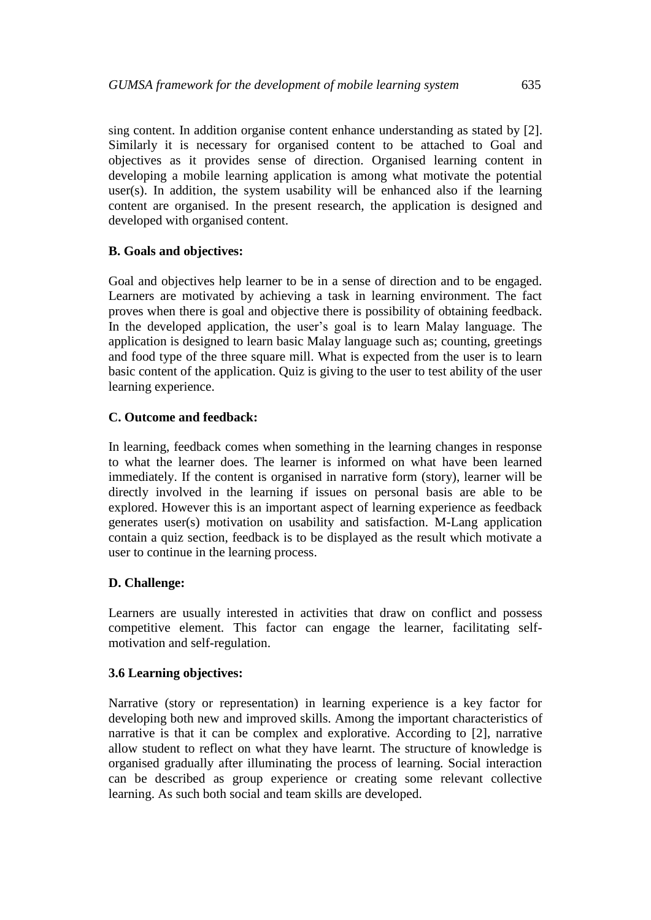sing content. In addition organise content enhance understanding as stated by [2]. Similarly it is necessary for organised content to be attached to Goal and objectives as it provides sense of direction. Organised learning content in developing a mobile learning application is among what motivate the potential user(s). In addition, the system usability will be enhanced also if the learning content are organised. In the present research, the application is designed and developed with organised content.

## **B. Goals and objectives:**

Goal and objectives help learner to be in a sense of direction and to be engaged. Learners are motivated by achieving a task in learning environment. The fact proves when there is goal and objective there is possibility of obtaining feedback. In the developed application, the user's goal is to learn Malay language. The application is designed to learn basic Malay language such as; counting, greetings and food type of the three square mill. What is expected from the user is to learn basic content of the application. Quiz is giving to the user to test ability of the user learning experience.

#### **C. Outcome and feedback:**

In learning, feedback comes when something in the learning changes in response to what the learner does. The learner is informed on what have been learned immediately. If the content is organised in narrative form (story), learner will be directly involved in the learning if issues on personal basis are able to be explored. However this is an important aspect of learning experience as feedback generates user(s) motivation on usability and satisfaction. M-Lang application contain a quiz section, feedback is to be displayed as the result which motivate a user to continue in the learning process.

#### **D. Challenge:**

Learners are usually interested in activities that draw on conflict and possess competitive element. This factor can engage the learner, facilitating selfmotivation and self-regulation.

## **3.6 Learning objectives:**

Narrative (story or representation) in learning experience is a key factor for developing both new and improved skills. Among the important characteristics of narrative is that it can be complex and explorative. According to [2], narrative allow student to reflect on what they have learnt. The structure of knowledge is organised gradually after illuminating the process of learning. Social interaction can be described as group experience or creating some relevant collective learning. As such both social and team skills are developed.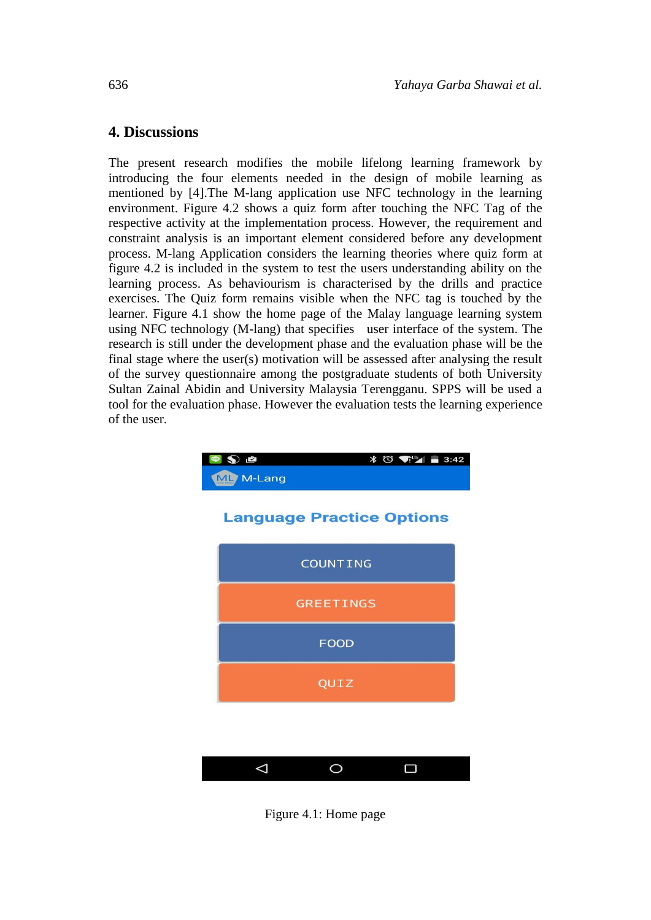## **4. Discussions**

The present research modifies the mobile lifelong learning framework by introducing the four elements needed in the design of mobile learning as mentioned by [4].The M-lang application use NFC technology in the learning environment. Figure 4.2 shows a quiz form after touching the NFC Tag of the respective activity at the implementation process. However, the requirement and constraint analysis is an important element considered before any development process. M-lang Application considers the learning theories where quiz form at figure 4.2 is included in the system to test the users understanding ability on the learning process. As behaviourism is characterised by the drills and practice exercises. The Quiz form remains visible when the NFC tag is touched by the learner. Figure 4.1 show the home page of the Malay language learning system using NFC technology (M-lang) that specifies user interface of the system. The research is still under the development phase and the evaluation phase will be the final stage where the user(s) motivation will be assessed after analysing the result of the survey questionnaire among the postgraduate students of both University Sultan Zainal Abidin and University Malaysia Terengganu. SPPS will be used a tool for the evaluation phase. However the evaluation tests the learning experience of the user.



Figure 4.1: Home page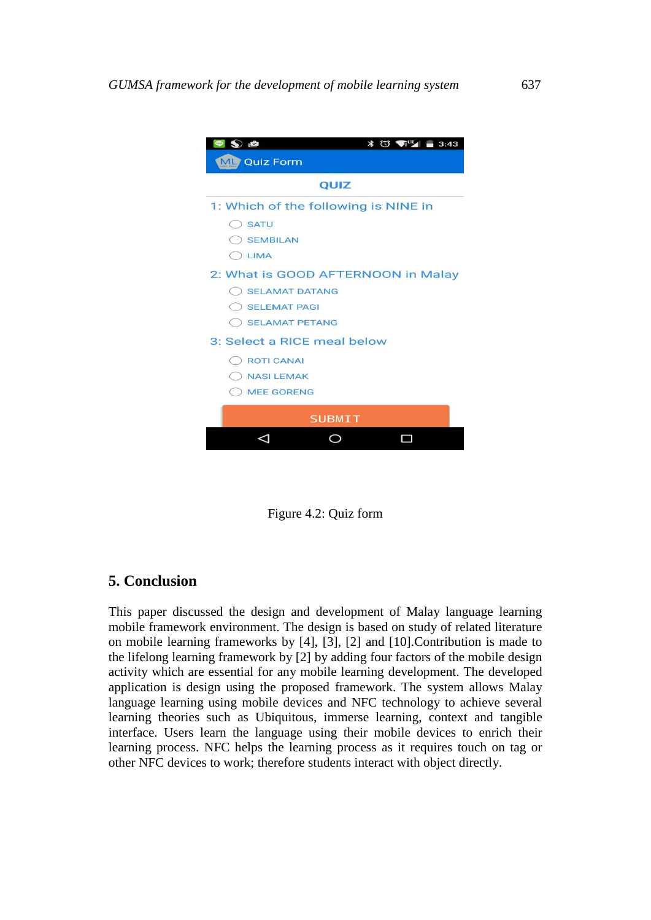| $\mathbf{S}$ is<br>$*$ $\bigcirc$ $\bigcirc$ $\bigcirc$ $\bigcirc$<br>3:43 |
|----------------------------------------------------------------------------|
| ML Quiz Form                                                               |
| QUIZ                                                                       |
| 1: Which of the following is NINE in                                       |
| <b>SATU</b><br>(                                                           |
| <b>SEMBILAN</b>                                                            |
| O LIMA                                                                     |
| 2: What is GOOD AFTERNOON in Malay                                         |
| SELAMAT DATANG                                                             |
| <b>SELEMAT PAGI</b>                                                        |
| SELAMAT PETANG                                                             |
| 3: Select a RICE meal below                                                |
| C ROTI CANAL                                                               |
| <b>NASI LEMAK</b>                                                          |
| <b>MEE GORENG</b>                                                          |
| <b>SUBMIT</b>                                                              |
|                                                                            |
|                                                                            |

Figure 4.2: Quiz form

## **5. Conclusion**

This paper discussed the design and development of Malay language learning mobile framework environment. The design is based on study of related literature on mobile learning frameworks by [4], [3], [2] and [10].Contribution is made to the lifelong learning framework by [2] by adding four factors of the mobile design activity which are essential for any mobile learning development. The developed application is design using the proposed framework. The system allows Malay language learning using mobile devices and NFC technology to achieve several learning theories such as Ubiquitous, immerse learning, context and tangible interface. Users learn the language using their mobile devices to enrich their learning process. NFC helps the learning process as it requires touch on tag or other NFC devices to work; therefore students interact with object directly.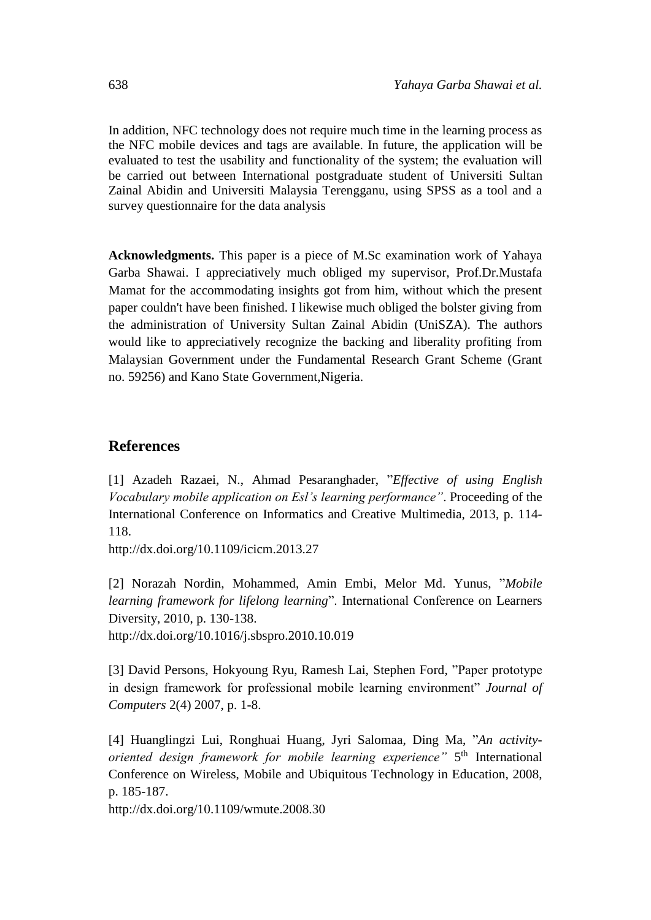In addition, NFC technology does not require much time in the learning process as the NFC mobile devices and tags are available. In future, the application will be evaluated to test the usability and functionality of the system; the evaluation will be carried out between International postgraduate student of Universiti Sultan Zainal Abidin and Universiti Malaysia Terengganu, using SPSS as a tool and a survey questionnaire for the data analysis

**Acknowledgments.** This paper is a piece of M.Sc examination work of Yahaya Garba Shawai. I appreciatively much obliged my supervisor, Prof.Dr.Mustafa Mamat for the accommodating insights got from him, without which the present paper couldn't have been finished. I likewise much obliged the bolster giving from the administration of University Sultan Zainal Abidin (UniSZA). The authors would like to appreciatively recognize the backing and liberality profiting from Malaysian Government under the Fundamental Research Grant Scheme (Grant no. 59256) and Kano State Government,Nigeria.

# **References**

[1] Azadeh Razaei, N., Ahmad Pesaranghader, "*Effective of using English Vocabulary mobile application on Esl's learning performance"*. Proceeding of the International Conference on Informatics and Creative Multimedia, 2013, p. 114- 118.

<http://dx.doi.org/10.1109/icicm.2013.27>

[2] Norazah Nordin, Mohammed, Amin Embi, Melor Md. Yunus, "*Mobile learning framework for lifelong learning*". International Conference on Learners Diversity, 2010, p. 130-138.

<http://dx.doi.org/10.1016/j.sbspro.2010.10.019>

[3] David Persons, Hokyoung Ryu, Ramesh Lai, Stephen Ford, "Paper prototype in design framework for professional mobile learning environment" *Journal of Computers* 2(4) 2007, p. 1-8.

[4] Huanglingzi Lui, Ronghuai Huang, Jyri Salomaa, Ding Ma, "*An activity*oriented design framework for mobile learning experience" 5<sup>th</sup> International Conference on Wireless, Mobile and Ubiquitous Technology in Education, 2008, p. 185-187.

<http://dx.doi.org/10.1109/wmute.2008.30>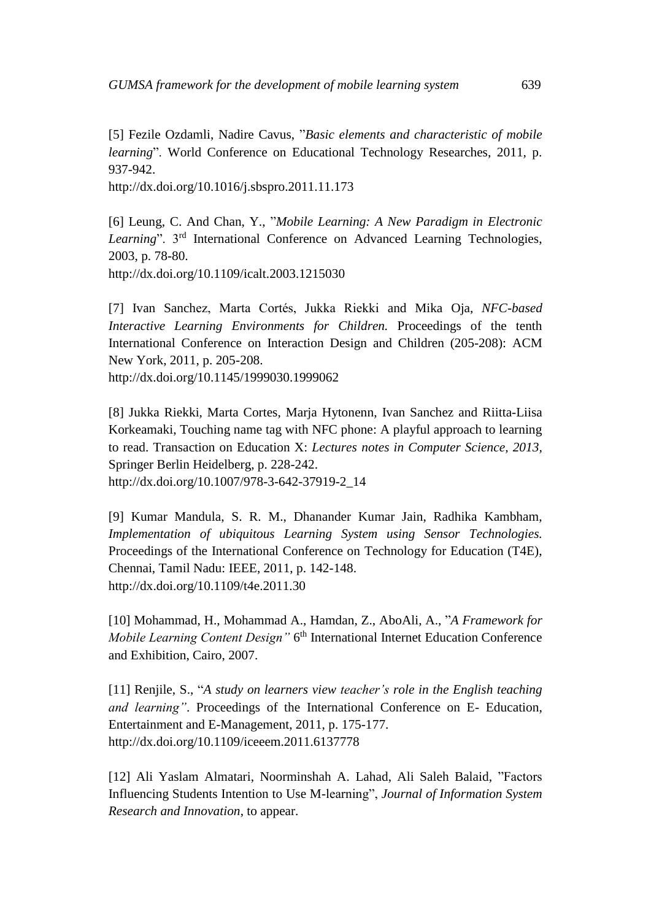[5] Fezile Ozdamli, Nadire Cavus, "*Basic elements and characteristic of mobile learning*". World Conference on Educational Technology Researches, 2011, p. 937-942.

<http://dx.doi.org/10.1016/j.sbspro.2011.11.173>

[6] Leung, C. And Chan, Y., "*Mobile Learning: A New Paradigm in Electronic Learning*". 3rd International Conference on Advanced Learning Technologies, 2003, p. 78-80.

<http://dx.doi.org/10.1109/icalt.2003.1215030>

[7] Ivan Sanchez, Marta Cortés, Jukka Riekki and Mika Oja, *NFC-based Interactive Learning Environments for Children.* Proceedings of the tenth International Conference on Interaction Design and Children (205-208): ACM New York, 2011, p. 205-208.

<http://dx.doi.org/10.1145/1999030.1999062>

[8] Jukka Riekki, Marta Cortes, Marja Hytonenn, Ivan Sanchez and Riitta-Liisa Korkeamaki, Touching name tag with NFC phone: A playful approach to learning to read. Transaction on Education X: *Lectures notes in Computer Science, 2013,* Springer Berlin Heidelberg, p. 228-242. [http://dx.doi.org/10.1007/978-3-642-37919-2\\_14](http://dx.doi.org/10.1007/978-3-642-37919-2_14) 

 [9] Kumar Mandula, S. R. M., Dhanander Kumar Jain, Radhika Kambham, *Implementation of ubiquitous Learning System using Sensor Technologies.* Proceedings of the International Conference on Technology for Education (T4E), Chennai, Tamil Nadu: IEEE, 2011, p. 142-148. <http://dx.doi.org/10.1109/t4e.2011.30>

[10] Mohammad, H., Mohammad A., Hamdan, Z., AboAli, A., "*A Framework for Mobile Learning Content Design*" 6<sup>th</sup> International Internet Education Conference and Exhibition, Cairo, 2007.

[11] Renjile, S., "*A study on learners view teacher's role in the English teaching and learning"*. Proceedings of the International Conference on E- Education, Entertainment and E-Management, 2011, p. 175-177. <http://dx.doi.org/10.1109/iceeem.2011.6137778>

[12] Ali Yaslam Almatari, Noorminshah A. Lahad, Ali Saleh Balaid, "Factors Influencing Students Intention to Use M-learning", *Journal of Information System Research and Innovation*, to appear.